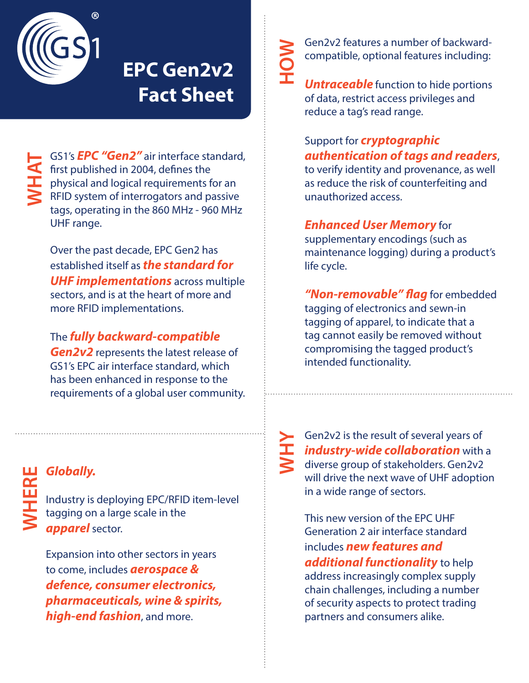

## **EPC Gen2v2 Fact Sheet**

**WHAT**

GS1's *EPC "Gen2"* air interface standard, first published in 2004, defines the physical and logical requirements for an RFID system of interrogators and passive tags, operating in the 860 MHz - 960 MHz UHF range.

Over the past decade, EPC Gen2 has established itself as *the standard for UHF implementations* across multiple sectors, and is at the heart of more and more RFID implementations.

The *fully backward-compatible Gen2v2* represents the latest release of GS1's EPC air interface standard, which has been enhanced in response to the requirements of a global user community. Gen2v2 features a number of backwardcompatible, optional features including:

*Untraceable* function to hide portions of data, restrict access privileges and reduce a tag's read range.

#### Support for *cryptographic authentication of tags and readers*,

to verify identity and provenance, as well as reduce the risk of counterfeiting and unauthorized access.

*Enhanced User Memory* for

supplementary encodings (such as maintenance logging) during a product's life cycle.

*"Non-removable" flag* for embedded tagging of electronics and sewn-in tagging of apparel, to indicate that a tag cannot easily be removed without compromising the tagged product's intended functionality.

*Globally.*

**WHERE**

Industry is deploying EPC/RFID item-level tagging on a large scale in the *apparel* sector.

Expansion into other sectors in years to come, includes *aerospace & defence, consumer electronics, pharmaceuticals, wine & spirits, high-end fashion*, and more.

**WHY**

**HOW**

Gen2v2 is the result of several years of *industry-wide collaboration* with a diverse group of stakeholders. Gen2v2 will drive the next wave of UHF adoption in a wide range of sectors.

This new version of the EPC UHF Generation 2 air interface standard includes *new features and additional functionality* to help address increasingly complex supply chain challenges, including a number of security aspects to protect trading partners and consumers alike.